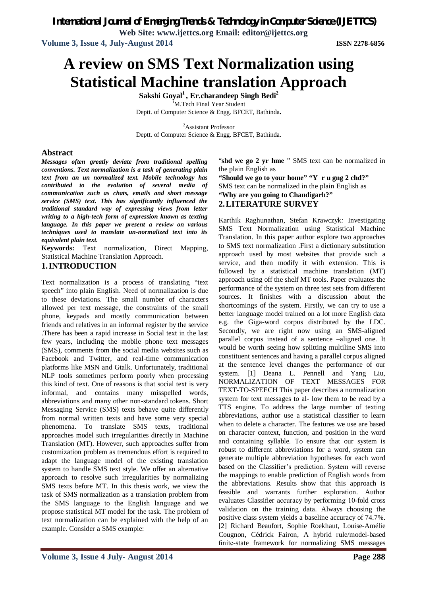*International Journal of Emerging Trends & Technology in Computer Science (IJETTCS)* **Web Site: www.ijettcs.org Email: editor@ijettcs.org**

**Volume 3, Issue 4, July-August 2014 ISSN 2278-6856**

# **A review on SMS Text Normalization using Statistical Machine translation Approach**

**Sakshi Goyal<sup>1</sup>, Er.charandeep Singh Bedi<sup>2</sup>** <sup>I</sup>M.Tech Final Year Student Deptt. of Computer Science & Engg. BFCET, Bathinda**.**

<sup>2</sup>Assistant Professor Deptt. of Computer Science & Engg. BFCET, Bathinda.

#### **Abstract**

*Messages often greatly deviate from traditional spelling conventions. Text normalization is a task of generating plain text from an un normalized text. Mobile technology has contributed to the evolution of several media of communication such as chats, emails and short message service (SMS) text. This has significantly influenced the traditional standard way of expressing views from letter writing to a high-tech form of expression known as texting language. In this paper we present a review on various techniques used to translate un-normalized text into its equivalent plain text.*

**Keywords:** Text normalization, Direct Mapping, Statistical Machine Translation Approach.

#### **1.INTRODUCTION**

Text normalization is a process of translating "text speech" into plain English. Need of normalization is due to these deviations. The small number of characters allowed per text message, the constraints of the small phone, keypads and mostly communication between friends and relatives in an informal register by the service .There has been a rapid increase in Social text in the last few years, including the mobile phone text messages (SMS), comments from the social media websites such as Facebook and Twitter, and real-time communication platforms like MSN and Gtalk. Unfortunately, traditional NLP tools sometimes perform poorly when processing this kind of text. One of reasons is that social text is very informal, and contains many misspelled words, abbreviations and many other non-standard tokens. Short Messaging Service (SMS) texts behave quite differently from normal written texts and have some very special phenomena. To translate SMS texts, traditional approaches model such irregularities directly in Machine Translation (MT). However, such approaches suffer from customization problem as tremendous effort is required to adapt the language model of the existing translation system to handle SMS text style. We offer an alternative approach to resolve such irregularities by normalizing SMS texts before MT. In this thesis work, we view the task of SMS normalization as a translation problem from the SMS language to the English language and we propose statistical MT model for the task. The problem of text normalization can be explained with the help of an example. Consider a SMS example:

"**shd we go 2 yr hme** " SMS text can be normalized in the plain English as **"Should we go to your home" "Y r u gng 2 chd?"**

SMS text can be normalized in the plain English as **"Why are you going to Chandigarh?" 2.LITERATURE SURVEY**

Karthik Raghunathan, Stefan Krawczyk*:* Investigating SMS Text Normalization using Statistical Machine Translation. In this paper author explore two approaches to SMS text normalization .First a dictionary substitution approach used by most websites that provide such a service, and then modify it with extension. This is followed by a statistical machine translation (MT) approach using off the shelf MT tools. Paper evaluates the performance of the system on three test sets from different sources. It finishes with a discussion about the shortcomings of the system. Firstly, we can try to use a better language model trained on a lot more English data e.g. the Giga-word corpus distributed by the LDC. Secondly, we are right now using an SMS-aligned parallel corpus instead of a sentence –aligned one. It would be worth seeing how splitting multiline SMS into constituent sentences and having a parallel corpus aligned at the sentence level changes the performance of our system. [1] Deana L. Pennell and Yang Liu, NORMALIZATION OF TEXT MESSAGES FOR TEXT-TO-SPEECH This paper describes a normalization system for text messages to al- low them to be read by a TTS engine. To address the large number of texting abbreviations, author use a statistical classifier to learn when to delete a character. The features we use are based on character context, function, and position in the word and containing syllable. To ensure that our system is robust to different abbreviations for a word, system can generate multiple abbreviation hypotheses for each word based on the Classifier's prediction. System will reverse the mappings to enable prediction of English words from the abbreviations. Results show that this approach is feasible and warrants further exploration. Author evaluates Classifier accuracy by performing 10-fold cross validation on the training data. Always choosing the positive class system yields a baseline accuracy of 74.7%. [2] Richard Beaufort, Sophie Roekhaut, Louise-Amélie Cougnon, Cédrick Fairon, A hybrid rule/model-based finite-state framework for normalizing SMS messages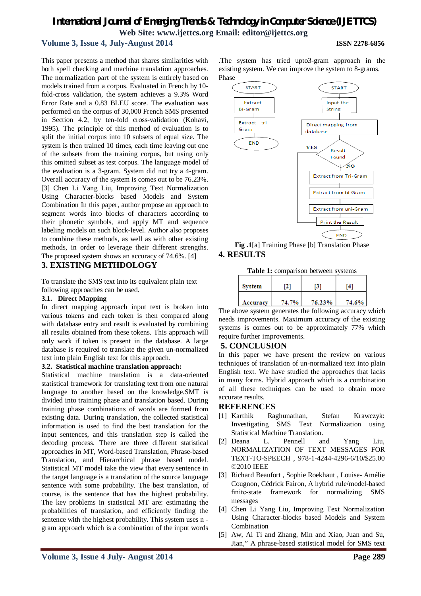### *International Journal of Emerging Trends & Technology in Computer Science (IJETTCS)* **Web Site: www.ijettcs.org Email: editor@ijettcs.org**

#### **Volume 3, Issue 4, July-August 2014 ISSN 2278-6856**

This paper presents a method that shares similarities with both spell checking and machine translation approaches. The normalization part of the system is entirely based on models trained from a corpus. Evaluated in French by 10 fold-cross validation, the system achieves a 9.3% Word Error Rate and a 0.83 BLEU score. The evaluation was performed on the corpus of 30,000 French SMS presented in Section 4.2, by ten-fold cross-validation (Kohavi, 1995). The principle of this method of evaluation is to split the initial corpus into 10 subsets of equal size. The system is then trained 10 times, each time leaving out one of the subsets from the training corpus, but using only this omitted subset as test corpus. The language model of the evaluation is a 3-gram. System did not try a 4-gram. Overall accuracy of the system is comes out to be 76.23%. [3] Chen Li Yang Liu, Improving Text Normalization Using Character-blocks based Models and System Combination In this paper, author propose an approach to segment words into blocks of characters according to their phonetic symbols, and apply MT and sequence labeling models on such block-level. Author also proposes to combine these methods, as well as with other existing methods, in order to leverage their different strengths. The proposed system shows an accuracy of 74.6%. [4]

#### **3. EXISTING METHDOLOGY**

To translate the SMS text into its equivalent plain text following approaches can be used.

#### **3.1. Direct Mapping**

In direct mapping approach input text is broken into various tokens and each token is then compared along with database entry and result is evaluated by combining all results obtained from these tokens. This approach will only work if token is present in the database. A large database is required to translate the given un-normalized text into plain English text for this approach.

#### **3.2. Statistical machine translation approach:**

Statistical machine translation is a data-oriented statistical framework for translating text from one natural language to another based on the knowledge.SMT is divided into training phase and translation based. During training phase combinations of words are formed from existing data. During translation, the collected statistical information is used to find the best translation for the input sentences, and this translation step is called the decoding process. There are three different statistical approaches in MT, Word-based Translation, Phrase-based Translation, and Hierarchical phrase based model. Statistical MT model take the view that every sentence in the target language is a translation of the source language sentence with some probability. The best translation, of course, is the sentence that has the highest probability. The key problems in statistical MT are: estimating the probabilities of translation, and efficiently finding the sentence with the highest probability. This system uses n gram approach which is a combination of the input words

.The system has tried upto3-gram approach in the existing system. We can improve the system to 8-grams. Phase



**Fig .1**[a] Training Phase [b] Translation Phase **4. RESULTS**

**Table 1:** comparison between systems

| <b>System</b> | 121   | [3]    | [4]   |
|---------------|-------|--------|-------|
| Accuracy      | 74.7% | 76.23% | 74.6% |

The above system generates the following accuracy which needs improvements. Maximum accuracy of the existing systems is comes out to be approximately 77% which require further improvements.

#### **5. CONCLUSION**

In this paper we have present the review on various techniques of translation of un-normalized text into plain English text. We have studied the approaches that lacks in many forms. Hybrid approach which is a combination of all these techniques can be used to obtain more accurate results.

#### **REFERENCES**

- [1] Karthik Raghunathan, Stefan Krawczyk: Investigating SMS Text Normalization using Statistical Machine Translation.
- [2] Deana L. Pennell and Yang Liu, NORMALIZATION OF TEXT MESSAGES FOR TEXT-TO-SPEECH , 978-1-4244-4296-6/10/\$25.00 ©2010 IEEE
- [3] Richard Beaufort , Sophie Roekhaut , Louise- Amélie Cougnon, Cédrick Fairon, A hybrid rule/model-based finite-state framework for normalizing SMS messages
- [4] Chen Li Yang Liu, Improving Text Normalization Using Character-blocks based Models and System Combination
- [5] Aw, Ai Ti and Zhang, Min and Xiao, Juan and Su, Jian," A phrase-based statistical model for SMS text